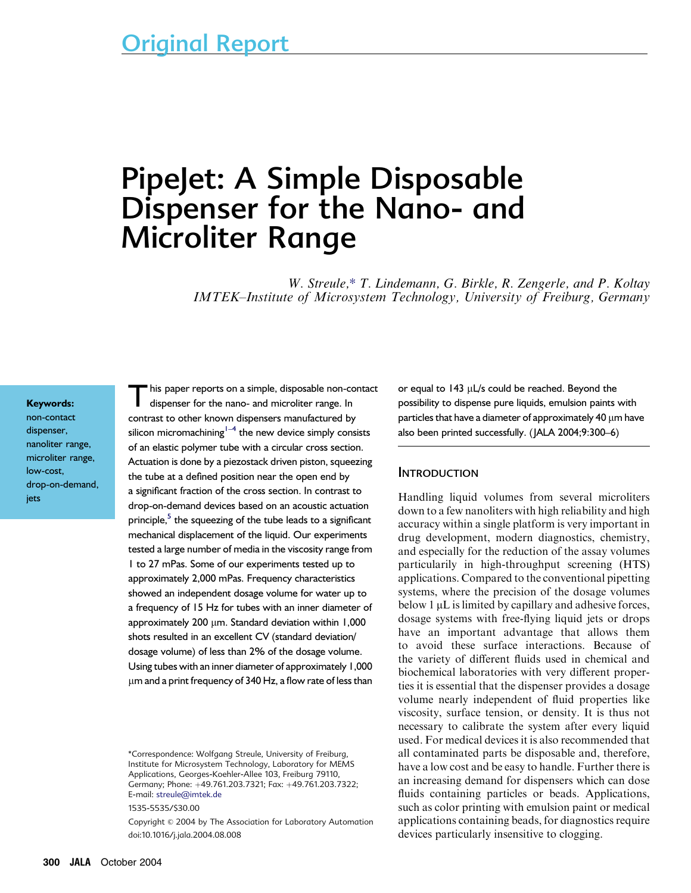# PipeJet: A Simple Disposable Dispenser for the Nano- and Microliter Range

W. Streule,\* T. Lindemann, G. Birkle, R. Zengerle, and P. Koltay IMTEK–Institute of Microsystem Technology, University of Freiburg, Germany

#### Keywords:

non-contact dispenser, nanoliter range, microliter range, low-cost, drop-on-demand, jets

his paper reports on a simple, disposable non-contact dispenser for the nano- and microliter range. In contrast to other known dispensers manufactured by silicon micromachining $^{1-4}$  the new device simply consists of an elastic polymer tube with a circular cross section. Actuation is done by a piezostack driven piston, squeezing the tube at a defined position near the open end by a significant fraction of the cross section. In contrast to drop-on-demand devices based on an acoustic actuation principle,<sup>5</sup> the squeezing of the tube leads to a significant mechanical displacement of the liquid. Our experiments tested a large number of media in the viscosity range from 1 to 27 mPas. Some of our experiments tested up to approximately 2,000 mPas. Frequency characteristics showed an independent dosage volume for water up to a frequency of 15 Hz for tubes with an inner diameter of approximately 200 um. Standard deviation within 1,000 shots resulted in an excellent CV (standard deviation/ dosage volume) of less than 2% of the dosage volume. Using tubes with an inner diameter of approximately 1,000 lm and a print frequency of 340 Hz, a flow rate of less than

1535-5535/\$30.00

Copyright © 2004 by The Association for Laboratory Automation doi:10.1016/j.jala.2004.08.008

or equal to  $143 \mu L/s$  could be reached. Beyond the possibility to dispense pure liquids, emulsion paints with particles that have a diameter of approximately 40  $\mu$ m have also been printed successfully. (JALA 2004;9:300–6)

#### **INTRODUCTION**

Handling liquid volumes from several microliters down to a few nanoliters with high reliability and high accuracy within a single platform is very important in drug development, modern diagnostics, chemistry, and especially for the reduction of the assay volumes particularily in high-throughput screening (HTS) applications. Compared to the conventional pipetting systems, where the precision of the dosage volumes below  $1 \mu$ L is limited by capillary and adhesive forces, dosage systems with free-flying liquid jets or drops have an important advantage that allows them to avoid these surface interactions. Because of the variety of different fluids used in chemical and biochemical laboratories with very different properties it is essential that the dispenser provides a dosage volume nearly independent of fluid properties like viscosity, surface tension, or density. It is thus not necessary to calibrate the system after every liquid used. For medical devices it is also recommended that all contaminated parts be disposable and, therefore, have a low cost and be easy to handle. Further there is an increasing demand for dispensers which can dose fluids containing particles or beads. Applications, such as color printing with emulsion paint or medical applications containing beads, for diagnostics require devices particularly insensitive to clogging.

<sup>\*</sup>Correspondence: Wolfgang Streule, University of Freiburg, Institute for Microsystem Technology, Laboratory for MEMS Applications, Georges-Koehler-Allee 103, Freiburg 79110, Germany; Phone: +49.761.203.7321; Fax: +49.761.203.7322; E-mail: [streule@imtek.de](mailto:streule@imtek.de)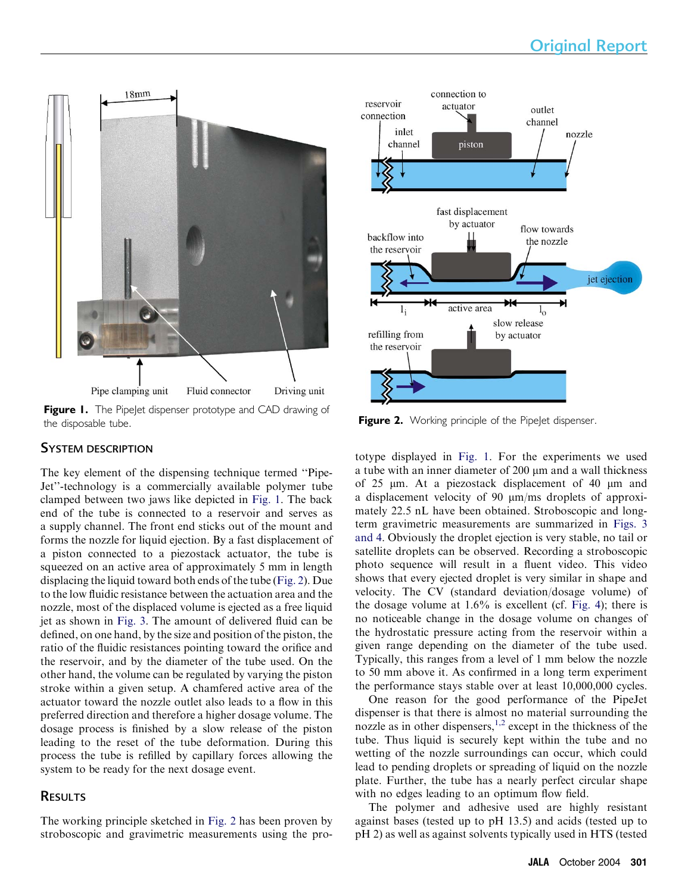

Figure I. The PipeJet dispenser prototype and CAD drawing of the disposable tube. The contract of the disposable tube.

# SYSTEM DESCRIPTION

The key element of the dispensing technique termed ''Pipe-Jet''-technology is a commercially available polymer tube clamped between two jaws like depicted in Fig. 1. The back end of the tube is connected to a reservoir and serves as a supply channel. The front end sticks out of the mount and forms the nozzle for liquid ejection. By a fast displacement of a piston connected to a piezostack actuator, the tube is squeezed on an active area of approximately 5 mm in length displacing the liquid toward both ends of the tube (Fig. 2). Due to the low fluidic resistance between the actuation area and the nozzle, most of the displaced volume is ejected as a free liquid jet as shown in [Fig. 3.](#page-2-0) The amount of delivered fluid can be defined, on one hand, by the size and position of the piston, the ratio of the fluidic resistances pointing toward the orifice and the reservoir, and by the diameter of the tube used. On the other hand, the volume can be regulated by varying the piston stroke within a given setup. A chamfered active area of the actuator toward the nozzle outlet also leads to a flow in this preferred direction and therefore a higher dosage volume. The dosage process is finished by a slow release of the piston leading to the reset of the tube deformation. During this process the tube is refilled by capillary forces allowing the system to be ready for the next dosage event.

# **RESULTS**

The working principle sketched in Fig. 2 has been proven by stroboscopic and gravimetric measurements using the pro-



totype displayed in Fig. 1. For the experiments we used a tube with an inner diameter of 200  $\mu$ m and a wall thickness of 25  $\mu$ m. At a piezostack displacement of 40  $\mu$ m and a displacement velocity of 90  $\mu$ m/ms droplets of approximately 22.5 nL have been obtained. Stroboscopic and longterm gravimetric measurements are summarized in [Figs. 3](#page-2-0) [and 4](#page-2-0). Obviously the droplet ejection is very stable, no tail or satellite droplets can be observed. Recording a stroboscopic photo sequence will result in a fluent video. This video shows that every ejected droplet is very similar in shape and velocity. The CV (standard deviation/dosage volume) of the dosage volume at 1.6% is excellent (cf. [Fig. 4](#page-3-0)); there is no noticeable change in the dosage volume on changes of the hydrostatic pressure acting from the reservoir within a given range depending on the diameter of the tube used. Typically, this ranges from a level of 1 mm below the nozzle to 50 mm above it. As confirmed in a long term experiment the performance stays stable over at least 10,000,000 cycles.

One reason for the good performance of the PipeJet dispenser is that there is almost no material surrounding the nozzle as in other dispensers,<sup>[1,2](#page-5-0)</sup> except in the thickness of the tube. Thus liquid is securely kept within the tube and no wetting of the nozzle surroundings can occur, which could lead to pending droplets or spreading of liquid on the nozzle plate. Further, the tube has a nearly perfect circular shape with no edges leading to an optimum flow field.

The polymer and adhesive used are highly resistant against bases (tested up to pH 13.5) and acids (tested up to pH 2) as well as against solvents typically used in HTS (tested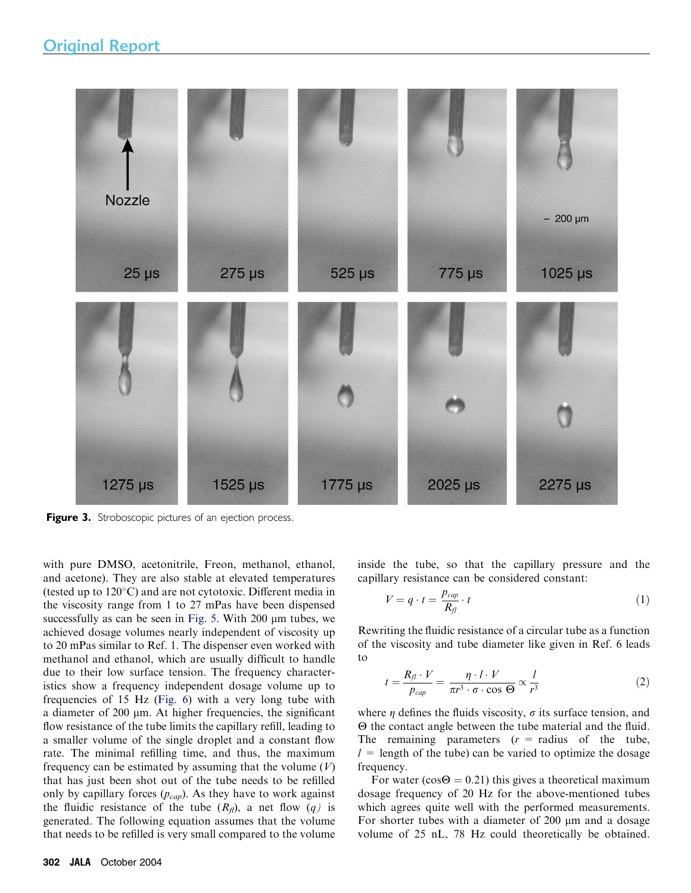<span id="page-2-0"></span>

Figure 3. Stroboscopic pictures of an ejection process.

with pure DMSO, acetonitrile, Freon, methanol, ethanol, and acetone). They are also stable at elevated temperatures (tested up to 120°C) and are not cytotoxic. Different media in the viscosity range from 1 to 27 mPas have been dispensed successfully as can be seen in [Fig. 5.](#page-3-0) With  $200 \mu m$  tubes, we achieved dosage volumes nearly independent of viscosity up to 20 mPas similar to Ref. 1. The dispenser even worked with methanol and ethanol, which are usually difficult to handle due to their low surface tension. The frequency characteristics show a frequency independent dosage volume up to frequencies of 15 Hz ([Fig. 6\)](#page-3-0) with a very long tube with a diameter of 200 µm. At higher frequencies, the significant flow resistance of the tube limits the capillary refill, leading to a smaller volume of the single droplet and a constant flow rate. The minimal refilling time, and thus, the maximum frequency can be estimated by assuming that the volume  $(V)$ that has just been shot out of the tube needs to be refilled only by capillary forces  $(p_{cap})$ . As they have to work against the fluidic resistance of the tube  $(R_f)$ , a net flow  $(q)$  is generated. The following equation assumes that the volume that needs to be refilled is very small compared to the volume

inside the tube, so that the capillary pressure and the capillary resistance can be considered constant:

$$
V = q \cdot t = \frac{p_{cap}}{R_{fl}} \cdot t \tag{1}
$$

Rewriting the fluidic resistance of a circular tube as a function of the viscosity and tube diameter like given in Ref. 6 leads to

$$
t = \frac{R_{fl} \cdot V}{p_{cap}} = \frac{\eta \cdot l \cdot V}{\pi r^3 \cdot \sigma \cdot \cos \Theta} \propto \frac{l}{r^3}
$$
 (2)

where  $\eta$  defines the fluids viscosity,  $\sigma$  its surface tension, and  $\Theta$  the contact angle between the tube material and the fluid. The remaining parameters  $(r = radius)$  of the tube,  $l =$  length of the tube) can be varied to optimize the dosage frequency.

For water ( $cos\Theta = 0.21$ ) this gives a theoretical maximum dosage frequency of 20 Hz for the above-mentioned tubes which agrees quite well with the performed measurements. For shorter tubes with a diameter of 200  $\mu$ m and a dosage volume of 25 nL, 78 Hz could theoretically be obtained.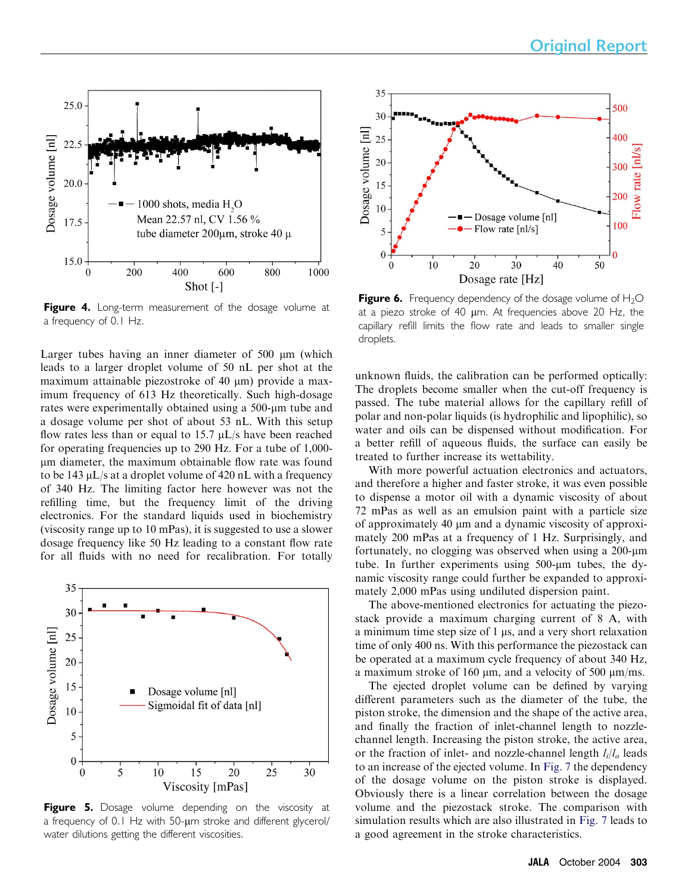<span id="page-3-0"></span>

Figure 4. Long-term measurement of the dosage volume at a frequency of 0.1 Hz.

Larger tubes having an inner diameter of  $500 \mu m$  (which leads to a larger droplet volume of 50 nL per shot at the maximum attainable piezostroke of  $40 \mu m$ ) provide a maximum frequency of 613 Hz theoretically. Such high-dosage rates were experimentally obtained using a 500-um tube and a dosage volume per shot of about 53 nL. With this setup flow rates less than or equal to 15.7  $\mu$ L/s have been reached for operating frequencies up to 290 Hz. For a tube of 1,000 lm diameter, the maximum obtainable flow rate was found to be 143  $\mu$ L/s at a droplet volume of 420 nL with a frequency of 340 Hz. The limiting factor here however was not the refilling time, but the frequency limit of the driving electronics. For the standard liquids used in biochemistry (viscosity range up to 10 mPas), it is suggested to use a slower dosage frequency like 50 Hz leading to a constant flow rate for all fluids with no need for recalibration. For totally



Figure 5. Dosage volume depending on the viscosity at a frequency of 0.1 Hz with 50-um stroke and different glycerol/ water dilutions getting the different viscosities.



**Figure 6.** Frequency dependency of the dosage volume of  $H_2O$ at a piezo stroke of 40 um. At frequencies above 20 Hz, the capillary refill limits the flow rate and leads to smaller single droplets.

unknown fluids, the calibration can be performed optically: The droplets become smaller when the cut-off frequency is passed. The tube material allows for the capillary refill of polar and non-polar liquids (is hydrophilic and lipophilic), so water and oils can be dispensed without modification. For a better refill of aqueous fluids, the surface can easily be treated to further increase its wettability.

With more powerful actuation electronics and actuators, and therefore a higher and faster stroke, it was even possible to dispense a motor oil with a dynamic viscosity of about 72 mPas as well as an emulsion paint with a particle size of approximately 40  $\mu$ m and a dynamic viscosity of approximately 200 mPas at a frequency of 1 Hz. Surprisingly, and fortunately, no clogging was observed when using a  $200$ - $\mu$ m tube. In further experiments using 500-um tubes, the dynamic viscosity range could further be expanded to approximately 2,000 mPas using undiluted dispersion paint.

The above-mentioned electronics for actuating the piezostack provide a maximum charging current of 8 A, with a minimum time step size of  $1 \mu s$ , and a very short relaxation time of only 400 ns. With this performance the piezostack can be operated at a maximum cycle frequency of about 340 Hz, a maximum stroke of 160  $\mu$ m, and a velocity of 500  $\mu$ m/ms.

The ejected droplet volume can be defined by varying different parameters such as the diameter of the tube, the piston stroke, the dimension and the shape of the active area, and finally the fraction of inlet-channel length to nozzlechannel length. Increasing the piston stroke, the active area, or the fraction of inlet- and nozzle-channel length  $l_i/l_o$  leads to an increase of the ejected volume. In [Fig. 7](#page-4-0) the dependency of the dosage volume on the piston stroke is displayed. Obviously there is a linear correlation between the dosage volume and the piezostack stroke. The comparison with simulation results which are also illustrated in [Fig. 7](#page-4-0) leads to a good agreement in the stroke characteristics.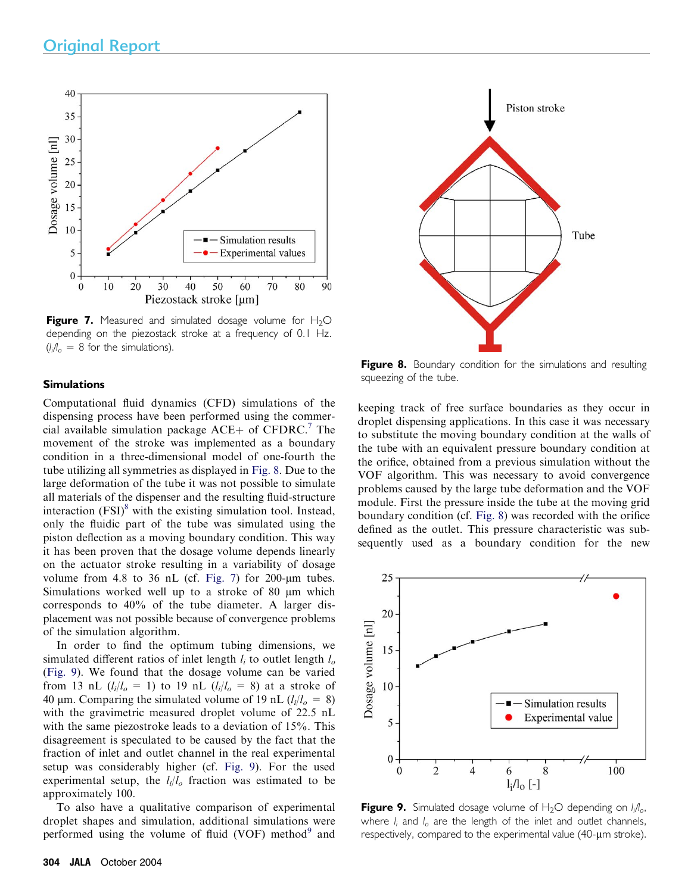<span id="page-4-0"></span>

**Figure 7.** Measured and simulated dosage volume for  $H_2O$ depending on the piezostack stroke at a frequency of 0.1 Hz.  $(l_i/l_o = 8$  for the simulations).

#### **Simulations**

Computational fluid dynamics (CFD) simulations of the dispensing process have been performed using the commercial available simulation package  $ACE+$  of CFDRC.<sup>[7](#page-6-0)</sup> The movement of the stroke was implemented as a boundary condition in a three-dimensional model of one-fourth the tube utilizing all symmetries as displayed in Fig. 8. Due to the large deformation of the tube it was not possible to simulate all materials of the dispenser and the resulting fluid-structure interaction  $(FSI)^8$  $(FSI)^8$  with the existing simulation tool. Instead, only the fluidic part of the tube was simulated using the piston deflection as a moving boundary condition. This way it has been proven that the dosage volume depends linearly on the actuator stroke resulting in a variability of dosage volume from 4.8 to 36 nL (cf. Fig. 7) for  $200$ - $\mu$ m tubes. Simulations worked well up to a stroke of 80 µm which corresponds to 40% of the tube diameter. A larger displacement was not possible because of convergence problems of the simulation algorithm.

In order to find the optimum tubing dimensions, we simulated different ratios of inlet length  $l_i$  to outlet length  $l_o$ (Fig. 9). We found that the dosage volume can be varied from 13 nL  $(l_i/l_o = 1)$  to 19 nL  $(l_i/l_o = 8)$  at a stroke of 40 µm. Comparing the simulated volume of 19 nL  $(l_i/l_o = 8)$ with the gravimetric measured droplet volume of 22.5 nL with the same piezostroke leads to a deviation of 15%. This disagreement is speculated to be caused by the fact that the fraction of inlet and outlet channel in the real experimental setup was considerably higher (cf. Fig. 9). For the used experimental setup, the  $l_i/l_o$  fraction was estimated to be approximately 100.

To also have a qualitative comparison of experimental droplet shapes and simulation, additional simulations were performed using the volume of fluid (VOF) method $9$  and



Figure 8. Boundary condition for the simulations and resulting squeezing of the tube.

keeping track of free surface boundaries as they occur in droplet dispensing applications. In this case it was necessary to substitute the moving boundary condition at the walls of the tube with an equivalent pressure boundary condition at the orifice, obtained from a previous simulation without the VOF algorithm. This was necessary to avoid convergence problems caused by the large tube deformation and the VOF module. First the pressure inside the tube at the moving grid boundary condition (cf. Fig. 8) was recorded with the orifice defined as the outlet. This pressure characteristic was subsequently used as a boundary condition for the new



**Figure 9.** Simulated dosage volume of  $H_2O$  depending on  $l_i/l_o$ , where  $l_i$  and  $l_o$  are the length of the inlet and outlet channels, respectively, compared to the experimental value (40-um stroke).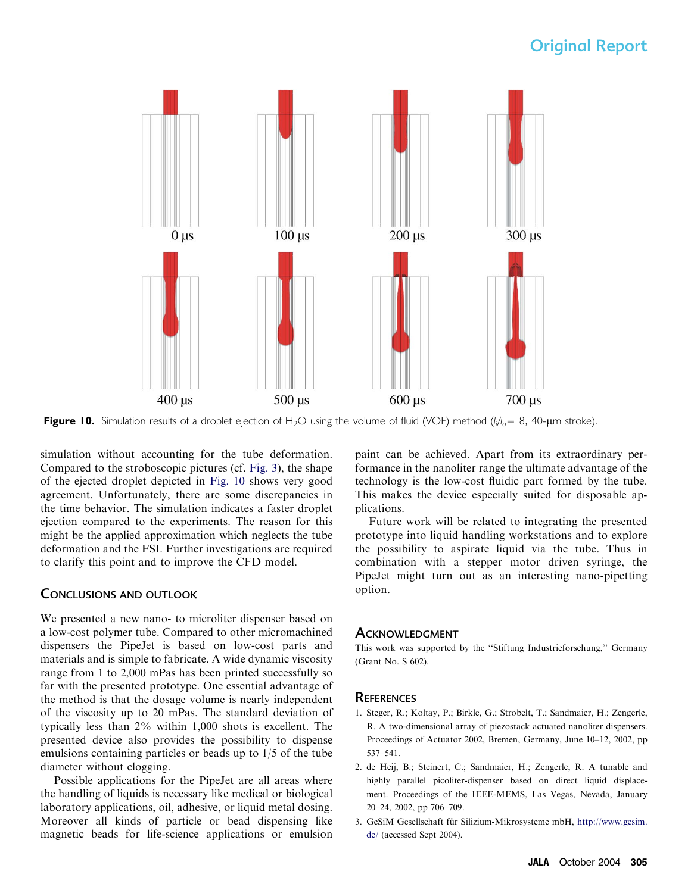<span id="page-5-0"></span>

**Figure 10.** Simulation results of a droplet ejection of H<sub>2</sub>O using the volume of fluid (VOF) method (I<sub>i</sub>/I<sub>o</sub>= 8, 40-µm stroke).

simulation without accounting for the tube deformation. Compared to the stroboscopic pictures (cf. [Fig. 3\)](#page-2-0), the shape of the ejected droplet depicted in Fig. 10 shows very good agreement. Unfortunately, there are some discrepancies in the time behavior. The simulation indicates a faster droplet ejection compared to the experiments. The reason for this might be the applied approximation which neglects the tube deformation and the FSI. Further investigations are required to clarify this point and to improve the CFD model.

# CONCLUSIONS AND OUTLOOK

We presented a new nano- to microliter dispenser based on a low-cost polymer tube. Compared to other micromachined dispensers the PipeJet is based on low-cost parts and materials and is simple to fabricate. A wide dynamic viscosity range from 1 to 2,000 mPas has been printed successfully so far with the presented prototype. One essential advantage of the method is that the dosage volume is nearly independent of the viscosity up to 20 mPas. The standard deviation of typically less than 2% within 1,000 shots is excellent. The presented device also provides the possibility to dispense emulsions containing particles or beads up to 1/5 of the tube diameter without clogging.

Possible applications for the PipeJet are all areas where the handling of liquids is necessary like medical or biological laboratory applications, oil, adhesive, or liquid metal dosing. Moreover all kinds of particle or bead dispensing like magnetic beads for life-science applications or emulsion paint can be achieved. Apart from its extraordinary performance in the nanoliter range the ultimate advantage of the technology is the low-cost fluidic part formed by the tube. This makes the device especially suited for disposable applications.

Future work will be related to integrating the presented prototype into liquid handling workstations and to explore the possibility to aspirate liquid via the tube. Thus in combination with a stepper motor driven syringe, the PipeJet might turn out as an interesting nano-pipetting option.

# **ACKNOWLEDGMENT**

This work was supported by the ''Stiftung Industrieforschung,'' Germany (Grant No. S 602).

# **REFERENCES**

- 1. Steger, R.; Koltay, P.; Birkle, G.; Strobelt, T.; Sandmaier, H.; Zengerle, R. A two-dimensional array of piezostack actuated nanoliter dispensers. Proceedings of Actuator 2002, Bremen, Germany, June 10–12, 2002, pp 537–541.
- 2. de Heij, B.; Steinert, C.; Sandmaier, H.; Zengerle, R. A tunable and highly parallel picoliter-dispenser based on direct liquid displacement. Proceedings of the IEEE-MEMS, Las Vegas, Nevada, January 20–24, 2002, pp 706–709.
- 3. GeSiM Gesellschaft für Silizium-Mikrosysteme mbH, [http://www.gesim.](http://www.gesim.de/) [de/](http://www.gesim.de/) (accessed Sept 2004).